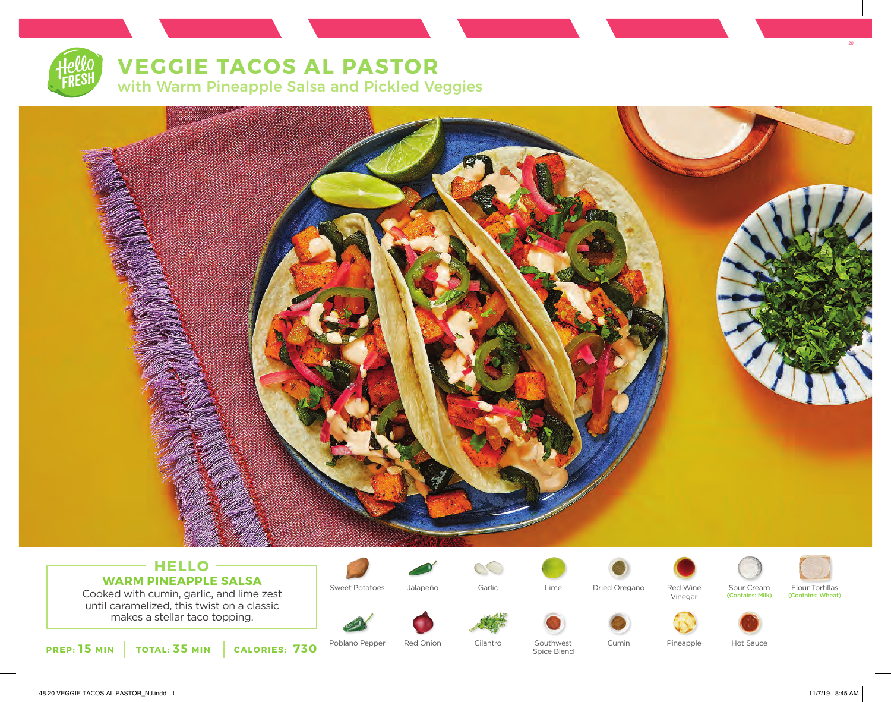# **VEGGIE TACOS AL PASTOR**

with Warm Pineapple Salsa and Pickled Veggies



### **HELLO WARM PINEAPPLE SALSA**

Cooked with cumin, garlic, and lime zest until caramelized, this twist on a classic makes a stellar taco topping.



Sweet Potatoes Jalapeño Garlic Lime Dried Oregano Red Wine







Vinegar

(Contains: Milk)



(Contains: Wheat)

20

**PREP: 15 MIN TOTAL: 35 MIN CALORIES: 730**

Poblano Pepper Red Onion Cilantro

Spice Blend

Southwest Cumin Pineapple Hot Sauce